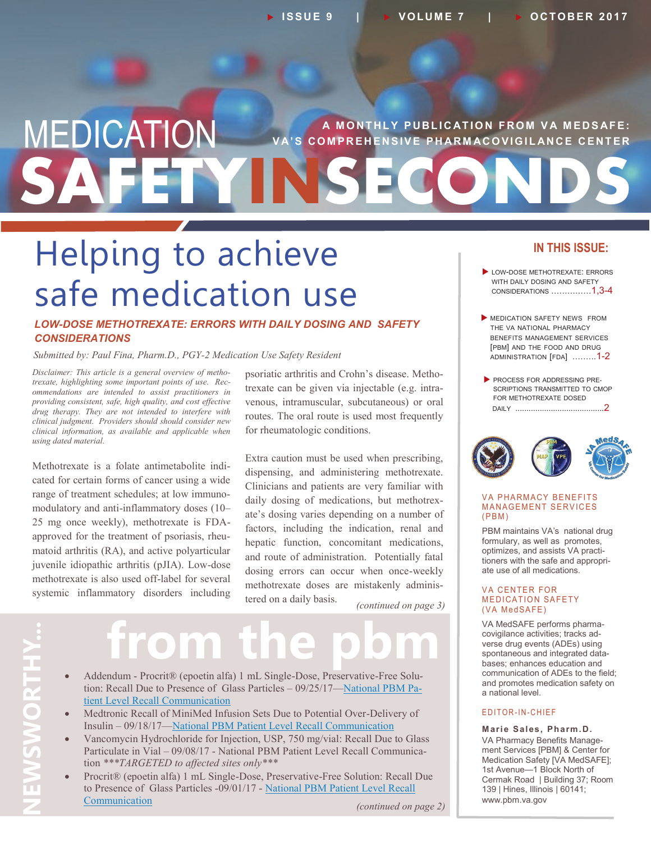## **SAFETYINSECONDS MEDICATION** VA'S COMPREHENSIVE PHARMACOVIGILANCE CENTER **VA'S COMPREHENSIVE PHARMACOVIGILANCE CENTER**

# Helping to achieve safe medication use

### *LOW-DOSE METHOTREXATE: ERRORS WITH DAILY DOSING AND SAFETY CONSIDERATIONS*

*Submitted by: Paul Fina, Pharm.D., PGY-2 Medication Use Safety Resident*

*Disclaimer: This article is a general overview of methotrexate, highlighting some important points of use. Recommendations are intended to assist practitioners in providing consistent, safe, high quality, and cost effective drug therapy. They are not intended to interfere with clinical judgment. Providers should should consider new clinical information, as available and applicable when using dated material.*

Methotrexate is a folate antimetabolite indicated for certain forms of cancer using a wide range of treatment schedules; at low immunomodulatory and anti-inflammatory doses (10– 25 mg once weekly), methotrexate is FDAapproved for the treatment of psoriasis, rheumatoid arthritis (RA), and active polyarticular juvenile idiopathic arthritis (pJIA). Low-dose methotrexate is also used off-label for several systemic inflammatory disorders including

psoriatic arthritis and Crohn's disease. Methotrexate can be given via injectable (e.g. intravenous, intramuscular, subcutaneous) or oral routes. The oral route is used most frequently for rheumatologic conditions.

Extra caution must be used when prescribing, dispensing, and administering methotrexate. Clinicians and patients are very familiar with daily dosing of medications, but methotrexate's dosing varies depending on a number of factors, including the indication, renal and hepatic function, concomitant medications, and route of administration. Potentially fatal dosing errors can occur when once-weekly methotrexate doses are mistakenly administered on a daily basis.

*(continued on page 3)*

# **from the pbm**

- Addendum Procrit® (epoetin alfa) 1 mL Single-Dose, Preservative-Free Solution: Recall Due to Presence of Glass Particles – 09/25/17[—National PBM Pa](https://www.pbm.va.gov/PBM/vacenterformedicationsafety/ADDENDUMProcritRecallDuetoPresenceofGlassParticlesNationalPBMPatientLevelRecalCommunicationFINAL092517withdisclaimer.pdf)[tient Level Recall Communication](https://www.pbm.va.gov/PBM/vacenterformedicationsafety/ADDENDUMProcritRecallDuetoPresenceofGlassParticlesNationalPBMPatientLevelRecalCommunicationFINAL092517withdisclaimer.pdf)
- Medtronic Recall of MiniMed Infusion Sets Due to Potential Over-Delivery of Insulin – 09/18/17[—National PBM Patient Level Recall Communication](https://www.pbm.va.gov/PBM/vacenterformedicationsafety/MedtronicRecallofMiniMedInfusionSetsDuetoOverDeliveryofInsulinNationalPBMPatientLevelRecallCommunicationFINAL091817withdisclaimer.pdf)
- Vancomycin Hydrochloride for Injection, USP, 750 mg/vial: Recall Due to Glass Particulate in Vial – 09/08/17 - National PBM Patient Level Recall Communication *\*\*\*TARGETED to affected sites only\*\*\**
- Procrit® (epoetin alfa) 1 mL Single-Dose, Preservative-Free Solution: Recall Due to Presence of Glass Particles -09/01/17 - National PBM Patient Level Recall [Communication](https://www.pbm.va.gov/PBM/vacenterformedicationsafety/ProcritRecallDuetoPresenceofGlassParticlesNationalPBMPatientLevelRecallCommunicationFINAL090117withdisclaimer.pdf) *(continued on page 2)*

### **IN THIS ISSUE:**

- LOW-DOSE METHOTREXATE: ERRORS WITH DAILY DOSING AND SAFETY CONSIDERATIONS ……………1,3-4
- **MEDICATION SAFETY NEWS FROM** THE VA NATIONAL PHARMACY BENEFITS MANAGEMENT SERVICES [PBM] AND THE FOOD AND DRUG ADMINISTRATION [FDA] .……..1-2
- **PROCESS FOR ADDRESSING PRE-**SCRIPTIONS TRANSMITTED TO CMOP FOR METHOTREXATE DOSED DAILY ........................................2



#### **VA PHARMACY BENEFITS MANAGEMENT SERVICES**  $(PBM)$

PBM maintains VA's national drug formulary, as well as promotes, optimizes, and assists VA practitioners with the safe and appropriate use of all medications.

#### **VA CENTER FOR MEDICATION SAFETY** (VA MedSAFE)

VA MedSAFE performs pharmacovigilance activities; tracks adverse drug events (ADEs) using spontaneous and integrated databases; enhances education and communication of ADEs to the field; and promotes medication safety on a national level.

### E D IT OR-IN-CHIEF

**Marie Sales, Pharm.D.** VA Pharmacy Benefits Management Services [PBM] & Center for Medication Safety [VA MedSAFE]; 1st Avenue—1 Block North of Cermak Road | Building 37; Room 139 | Hines, Illinois | 60141; www.pbm.va.gov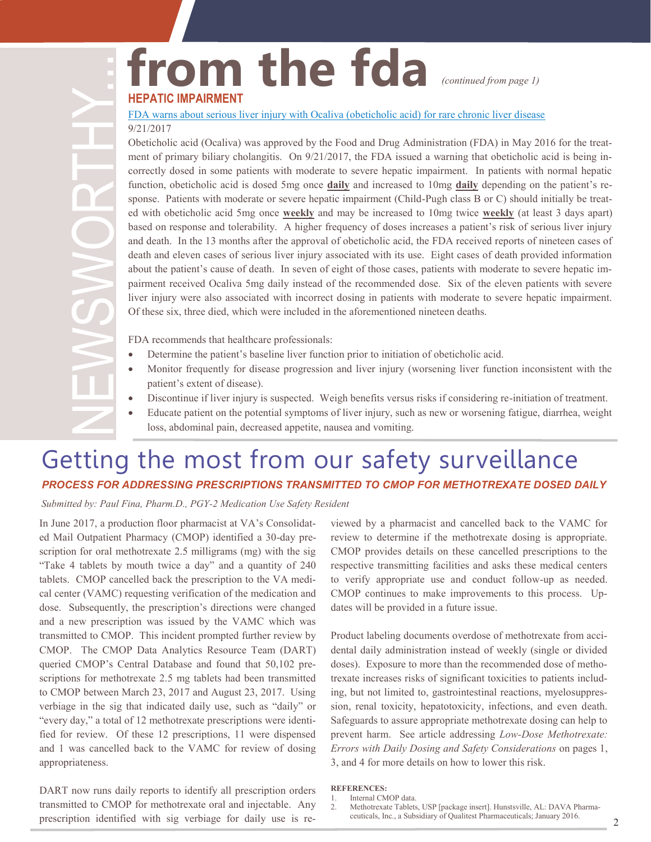### **from the fda HEPATIC IMPAIRMENT**  *(continued from page 1)*

### [FDA warns about serious liver injury with Ocaliva \(obeticholic acid\) for rare chronic liver disease](https://www.fda.gov/Drugs/DrugSafety/ucm576656.htm) 9/21/2017

Obeticholic acid (Ocaliva) was approved by the Food and Drug Administration (FDA) in May 2016 for the treatment of primary biliary cholangitis. On  $9/21/2017$ , the FDA issued a warning that obeticholic acid is being incorrectly dosed in some patients with moderate to severe hepatic impairment. In patients with normal hepatic function, obeticholic acid is dosed 5mg once **daily** and increased to 10mg **daily** depending on the patient's response. Patients with moderate or severe hepatic impairment (Child-Pugh class B or C) should initially be treated with obeticholic acid 5mg once **weekly** and may be increased to 10mg twice **weekly** (at least 3 days apart) based on response and tolerability. A higher frequency of doses increases a patient's risk of serious liver injury and death. In the 13 months after the approval of obeticholic acid, the FDA received reports of nineteen cases of death and eleven cases of serious liver injury associated with its use. Eight cases of death provided information about the patient's cause of death. In seven of eight of those cases, patients with moderate to severe hepatic impairment received Ocaliva 5mg daily instead of the recommended dose. Six of the eleven patients with severe liver injury were also associated with incorrect dosing in patients with moderate to severe hepatic impairment. Of these six, three died, which were included in the aforementioned nineteen deaths.

FDA recommends that healthcare professionals:

- Determine the patient's baseline liver function prior to initiation of obeticholic acid.
- Monitor frequently for disease progression and liver injury (worsening liver function inconsistent with the patient's extent of disease).
- Discontinue if liver injury is suspected. Weigh benefits versus risks if considering re-initiation of treatment.
- Educate patient on the potential symptoms of liver injury, such as new or worsening fatigue, diarrhea, weight loss, abdominal pain, decreased appetite, nausea and vomiting.

### Getting the most from our safety surveillance *PROCESS FOR ADDRESSING PRESCRIPTIONS TRANSMITTED TO CMOP FOR METHOTREXATE DOSED DAILY*

*Submitted by: Paul Fina, Pharm.D., PGY-2 Medication Use Safety Resident*

In June 2017, a production floor pharmacist at VA's Consolidated Mail Outpatient Pharmacy (CMOP) identified a 30-day prescription for oral methotrexate 2.5 milligrams (mg) with the sig "Take 4 tablets by mouth twice a day" and a quantity of 240 tablets. CMOP cancelled back the prescription to the VA medical center (VAMC) requesting verification of the medication and dose. Subsequently, the prescription's directions were changed and a new prescription was issued by the VAMC which was transmitted to CMOP. This incident prompted further review by CMOP. The CMOP Data Analytics Resource Team (DART) queried CMOP's Central Database and found that 50,102 prescriptions for methotrexate 2.5 mg tablets had been transmitted to CMOP between March 23, 2017 and August 23, 2017. Using verbiage in the sig that indicated daily use, such as "daily" or "every day," a total of 12 methotrexate prescriptions were identified for review. Of these 12 prescriptions, 11 were dispensed and 1 was cancelled back to the VAMC for review of dosing appropriateness.

DART now runs daily reports to identify all prescription orders transmitted to CMOP for methotrexate oral and injectable. Any prescription identified with sig verbiage for daily use is re-

viewed by a pharmacist and cancelled back to the VAMC for review to determine if the methotrexate dosing is appropriate. CMOP provides details on these cancelled prescriptions to the respective transmitting facilities and asks these medical centers to verify appropriate use and conduct follow-up as needed. CMOP continues to make improvements to this process. Updates will be provided in a future issue.

Product labeling documents overdose of methotrexate from accidental daily administration instead of weekly (single or divided doses). Exposure to more than the recommended dose of methotrexate increases risks of significant toxicities to patients including, but not limited to, gastrointestinal reactions, myelosuppression, renal toxicity, hepatotoxicity, infections, and even death. Safeguards to assure appropriate methotrexate dosing can help to prevent harm. See article addressing *Low-Dose Methotrexate: Errors with Daily Dosing and Safety Considerations* on pages 1, 3, and 4 for more details on how to lower this risk.

#### **REFERENCES:**

<sup>1.</sup> Internal CMOP data.

<sup>2.</sup> Methotrexate Tablets, USP [package insert]. Hunstsville, AL: DAVA Pharmaceuticals, Inc., a Subsidiary of Qualitest Pharmaceuticals; January 2016.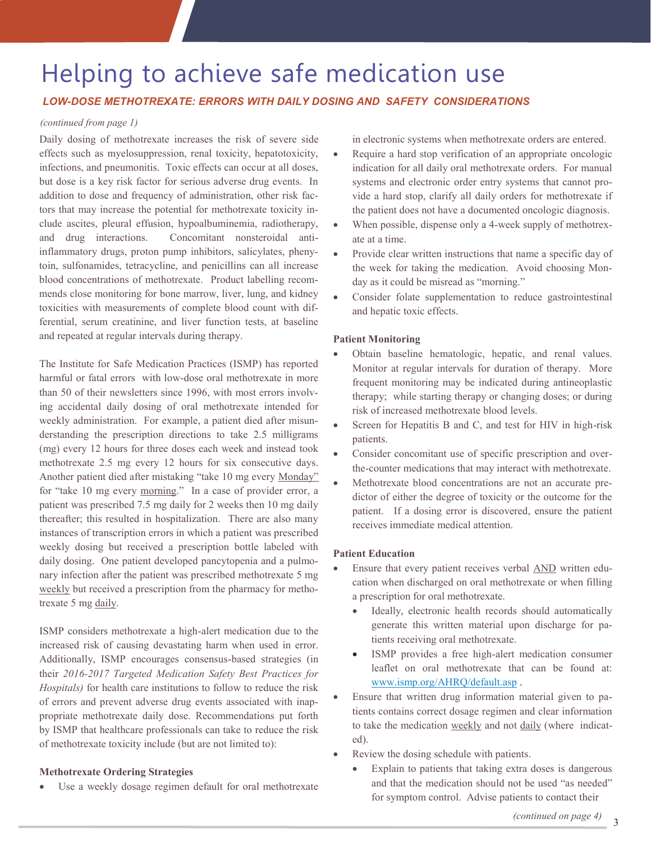### Helping to achieve safe medication use

### *LOW-DOSE METHOTREXATE: ERRORS WITH DAILY DOSING AND SAFETY CONSIDERATIONS*

### *(continued from page 1)*

Daily dosing of methotrexate increases the risk of severe side effects such as myelosuppression, renal toxicity, hepatotoxicity, infections, and pneumonitis. Toxic effects can occur at all doses, but dose is a key risk factor for serious adverse drug events. In addition to dose and frequency of administration, other risk factors that may increase the potential for methotrexate toxicity include ascites, pleural effusion, hypoalbuminemia, radiotherapy, and drug interactions. Concomitant nonsteroidal antiinflammatory drugs, proton pump inhibitors, salicylates, phenytoin, sulfonamides, tetracycline, and penicillins can all increase blood concentrations of methotrexate. Product labelling recommends close monitoring for bone marrow, liver, lung, and kidney toxicities with measurements of complete blood count with differential, serum creatinine, and liver function tests, at baseline and repeated at regular intervals during therapy.

The Institute for Safe Medication Practices (ISMP) has reported harmful or fatal errors with low-dose oral methotrexate in more than 50 of their newsletters since 1996, with most errors involving accidental daily dosing of oral methotrexate intended for weekly administration. For example, a patient died after misunderstanding the prescription directions to take 2.5 milligrams (mg) every 12 hours for three doses each week and instead took methotrexate 2.5 mg every 12 hours for six consecutive days. Another patient died after mistaking "take 10 mg every Monday" for "take 10 mg every morning." In a case of provider error, a patient was prescribed 7.5 mg daily for 2 weeks then 10 mg daily thereafter; this resulted in hospitalization. There are also many instances of transcription errors in which a patient was prescribed weekly dosing but received a prescription bottle labeled with daily dosing. One patient developed pancytopenia and a pulmonary infection after the patient was prescribed methotrexate 5 mg weekly but received a prescription from the pharmacy for methotrexate 5 mg daily.

ISMP considers methotrexate a high-alert medication due to the increased risk of causing devastating harm when used in error. Additionally, ISMP encourages consensus-based strategies (in their *2016-2017 Targeted Medication Safety Best Practices for Hospitals)* for health care institutions to follow to reduce the risk of errors and prevent adverse drug events associated with inappropriate methotrexate daily dose. Recommendations put forth by ISMP that healthcare professionals can take to reduce the risk of methotrexate toxicity include (but are not limited to):

### **Methotrexate Ordering Strategies**

Use a weekly dosage regimen default for oral methotrexate

in electronic systems when methotrexate orders are entered.

- Require a hard stop verification of an appropriate oncologic indication for all daily oral methotrexate orders. For manual systems and electronic order entry systems that cannot provide a hard stop, clarify all daily orders for methotrexate if the patient does not have a documented oncologic diagnosis.
- When possible, dispense only a 4-week supply of methotrexate at a time.
- Provide clear written instructions that name a specific day of the week for taking the medication. Avoid choosing Monday as it could be misread as "morning."
- Consider folate supplementation to reduce gastrointestinal and hepatic toxic effects.

### **Patient Monitoring**

- Obtain baseline hematologic, hepatic, and renal values. Monitor at regular intervals for duration of therapy. More frequent monitoring may be indicated during antineoplastic therapy; while starting therapy or changing doses; or during risk of increased methotrexate blood levels.
- Screen for Hepatitis B and C, and test for HIV in high-risk patients.
- Consider concomitant use of specific prescription and overthe-counter medications that may interact with methotrexate.
- Methotrexate blood concentrations are not an accurate predictor of either the degree of toxicity or the outcome for the patient.If a dosing error is discovered, ensure the patient receives immediate medical attention.

### **Patient Education**

- Ensure that every patient receives verbal AND written education when discharged on oral methotrexate or when filling a prescription for oral methotrexate.
	- Ideally, electronic health records should automatically generate this written material upon discharge for patients receiving oral methotrexate.
	- ISMP provides a free high-alert medication consumer leaflet on oral methotrexate that can be found at: [www.ismp.org/AHRQ/default.asp .](http://www.ismp.org/AHRQ/default.asp)
- Ensure that written drug information material given to patients contains correct dosage regimen and clear information to take the medication weekly and not daily (where indicated).
- Review the dosing schedule with patients.
	- Explain to patients that taking extra doses is dangerous and that the medication should not be used "as needed" for symptom control. Advise patients to contact their